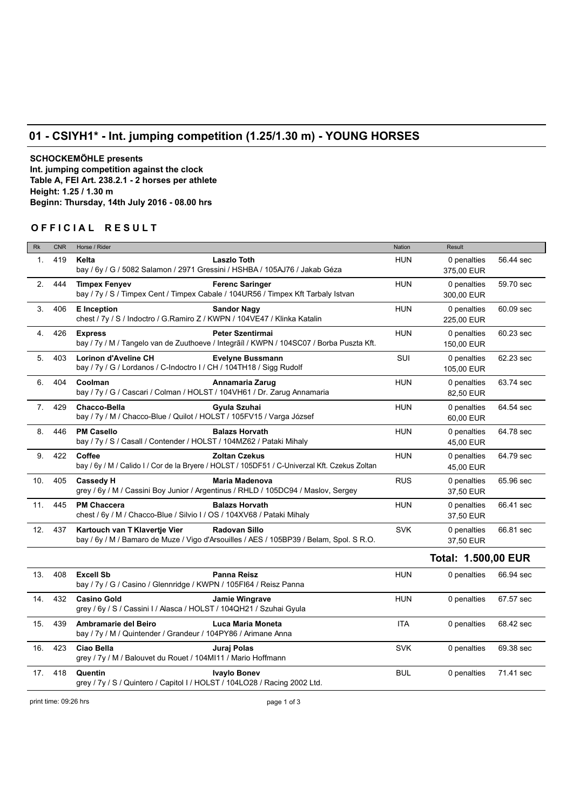## **01 - CSIYH1\* - Int. jumping competition (1.25/1.30 m) - YOUNG HORSES**

**SCHOCKEMÖHLE presents Int. jumping competition against the clock Table A, FEI Art. 238.2.1 - 2 horses per athlete Height: 1.25 / 1.30 m Beginn: Thursday, 14th July 2016 - 08.00 hrs**

## **OFFICIAL RESULT**

| <b>Rk</b>       | <b>CNR</b> | Horse / Rider                                                                                                                                    | <b>Nation</b> | Result                     |           |  |  |
|-----------------|------------|--------------------------------------------------------------------------------------------------------------------------------------------------|---------------|----------------------------|-----------|--|--|
| $\mathbf{1}$ .  | 419        | <b>Laszlo Toth</b><br>Kelta<br>bay / 6y / G / 5082 Salamon / 2971 Gressini / HSHBA / 105AJ76 / Jakab Géza                                        | <b>HUN</b>    | 0 penalties<br>375,00 EUR  | 56.44 sec |  |  |
| 2.              | 444        | <b>Timpex Fenyev</b><br><b>Ferenc Saringer</b><br>bay / 7y / S / Timpex Cent / Timpex Cabale / 104UR56 / Timpex Kft Tarbaly Istvan               | <b>HUN</b>    | 0 penalties<br>300,00 EUR  | 59.70 sec |  |  |
| 3.              | 406        | <b>E</b> Inception<br><b>Sandor Nagy</b><br>chest / 7y / S / Indoctro / G.Ramiro Z / KWPN / 104VE47 / Klinka Katalin                             | <b>HUN</b>    | 0 penalties<br>225,00 EUR  | 60.09 sec |  |  |
| 4.              | 426        | <b>Peter Szentirmai</b><br><b>Express</b><br>bay / 7y / M / Tangelo van de Zuuthoeve / Integrãil / KWPN / 104SC07 / Borba Puszta Kft.            | <b>HUN</b>    | 0 penalties<br>150,00 EUR  | 60.23 sec |  |  |
| 5.              | 403        | <b>Lorinon d'Aveline CH</b><br><b>Evelyne Bussmann</b><br>bay / 7y / G / Lordanos / C-Indoctro I / CH / 104TH18 / Sigg Rudolf                    | <b>SUI</b>    | 0 penalties<br>105,00 EUR  | 62.23 sec |  |  |
| 6.              | 404        | Coolman<br>Annamaria Zarug<br>bay / 7y / G / Cascari / Colman / HOLST / 104VH61 / Dr. Zarug Annamaria                                            | <b>HUN</b>    | 0 penalties<br>82,50 EUR   | 63.74 sec |  |  |
| 7.              | 429        | <b>Chacco-Bella</b><br>Gyula Szuhai<br>bay / 7y / M / Chacco-Blue / Quilot / HOLST / 105FV15 / Varga József                                      | <b>HUN</b>    | 0 penalties<br>60,00 EUR   | 64.54 sec |  |  |
| 8.              | 446        | <b>PM Casello</b><br><b>Balazs Horvath</b><br>bay / 7y / S / Casall / Contender / HOLST / 104MZ62 / Pataki Mihaly                                | <b>HUN</b>    | 0 penalties<br>45,00 EUR   | 64.78 sec |  |  |
| 9.              | 422        | Coffee<br><b>Zoltan Czekus</b><br>bay / 6y / M / Calido I / Cor de la Bryere / HOLST / 105DF51 / C-Univerzal Kft. Czekus Zoltan                  | <b>HUN</b>    | 0 penalties<br>45,00 EUR   | 64.79 sec |  |  |
| 10.             | 405        | <b>Maria Madenova</b><br><b>Cassedy H</b><br>grey / 6y / M / Cassini Boy Junior / Argentinus / RHLD / 105DC94 / Maslov, Sergey                   | <b>RUS</b>    | 0 penalties<br>37,50 EUR   | 65.96 sec |  |  |
| 11.             | 445        | <b>PM Chaccera</b><br><b>Balazs Horvath</b><br>chest / 6y / M / Chacco-Blue / Silvio I / OS / 104XV68 / Pataki Mihaly                            | <b>HUN</b>    | 0 penalties<br>37,50 EUR   | 66.41 sec |  |  |
| 12.             | 437        | <b>Radovan Sillo</b><br>Kartouch van T Klavertje Vier<br>bay / 6y / M / Bamaro de Muze / Vigo d'Arsouilles / AES / 105BP39 / Belam, Spol. S R.O. | <b>SVK</b>    | 0 penalties<br>37,50 EUR   | 66.81 sec |  |  |
|                 |            |                                                                                                                                                  |               | <b>Total: 1.500,00 EUR</b> |           |  |  |
| 13.             | 408        | <b>Excell Sb</b><br><b>Panna Reisz</b><br>bay / 7y / G / Casino / Glennridge / KWPN / 105FI64 / Reisz Panna                                      | <b>HUN</b>    | 0 penalties                | 66.94 sec |  |  |
| 14.             | 432        | <b>Casino Gold</b><br>Jamie Wingrave<br>grey / 6y / S / Cassini I / Alasca / HOLST / 104QH21 / Szuhai Gyula                                      | <b>HUN</b>    | 0 penalties                | 67.57 sec |  |  |
| 15.             | 439        | Ambramarie del Beiro<br>Luca Maria Moneta<br>bay / 7y / M / Quintender / Grandeur / 104PY86 / Arimane Anna                                       | <b>ITA</b>    | 0 penalties                | 68.42 sec |  |  |
| 16.             | 423        | Ciao Bella<br>Juraj Polas<br>grey / 7y / M / Balouvet du Rouet / 104MI11 / Mario Hoffmann                                                        | <b>SVK</b>    | 0 penalties                | 69.38 sec |  |  |
| 17 <sub>1</sub> | 418        | Quentin<br><b>Ivaylo Bonev</b><br>grey / 7y / S / Quintero / Capitol I / HOLST / 104LO28 / Racing 2002 Ltd.                                      | <b>BUL</b>    | 0 penalties                | 71.41 sec |  |  |

print time: 09:26 hrs page 1 of 3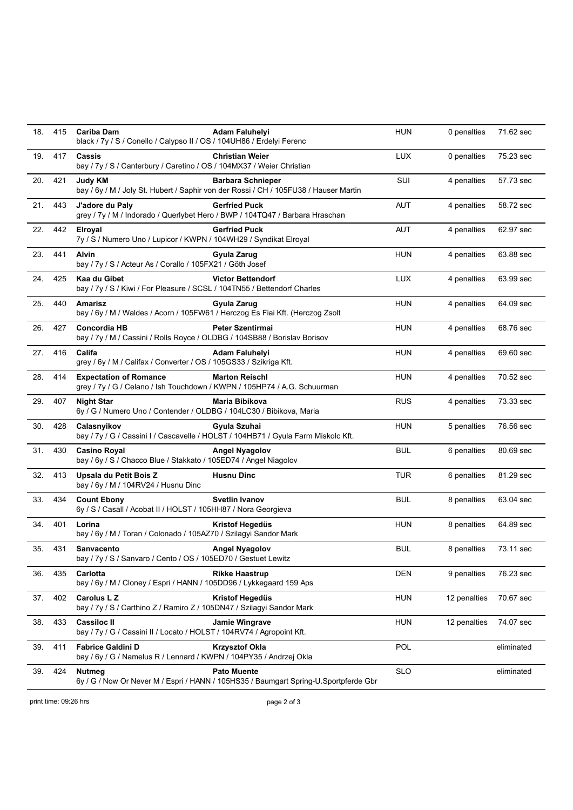| 18. | 415 | Cariba Dam<br>black / 7y / S / Conello / Calypso II / OS / 104UH86 / Erdelyi Ferenc                       | <b>Adam Faluhelyi</b>    | HUN        | 0 penalties  | 71.62 sec  |
|-----|-----|-----------------------------------------------------------------------------------------------------------|--------------------------|------------|--------------|------------|
| 19. | 417 | Cassis<br>bay / 7y / S / Canterbury / Caretino / OS / 104MX37 / Weier Christian                           | <b>Christian Weier</b>   | <b>LUX</b> | 0 penalties  | 75.23 sec  |
| 20. | 421 | Judy KM<br>bay / 6y / M / Joly St. Hubert / Saphir von der Rossi / CH / 105FU38 / Hauser Martin           | <b>Barbara Schnieper</b> | SUI        | 4 penalties  | 57.73 sec  |
| 21. | 443 | J'adore du Paly<br>grey / 7y / M / Indorado / Querlybet Hero / BWP / 104TQ47 / Barbara Hraschan           | <b>Gerfried Puck</b>     | <b>AUT</b> | 4 penalties  | 58.72 sec  |
| 22. | 442 | Elroyal<br>7y / S / Numero Uno / Lupicor / KWPN / 104WH29 / Syndikat Elroyal                              | <b>Gerfried Puck</b>     | AUT        | 4 penalties  | 62.97 sec  |
| 23. | 441 | Alvin<br>bay / 7y / S / Acteur As / Corallo / 105FX21 / Göth Josef                                        | Gyula Zarug              | HUN        | 4 penalties  | 63.88 sec  |
| 24. | 425 | Kaa du Gibet<br>bay / 7y / S / Kiwi / For Pleasure / SCSL / 104TN55 / Bettendorf Charles                  | <b>Victor Bettendorf</b> | LUX        | 4 penalties  | 63.99 sec  |
| 25. | 440 | Amarisz<br>bay / 6y / M / Waldes / Acorn / 105FW61 / Herczog Es Fiai Kft. (Herczog Zsolt                  | Gyula Zarug              | <b>HUN</b> | 4 penalties  | 64.09 sec  |
| 26. | 427 | <b>Concordia HB</b><br>bay / 7y / M / Cassini / Rolls Royce / OLDBG / 104SB88 / Borislav Borisov          | <b>Peter Szentirmai</b>  | <b>HUN</b> | 4 penalties  | 68.76 sec  |
| 27. | 416 | Califa<br>grey / 6y / M / Califax / Converter / OS / 105GS33 / Szikriga Kft.                              | <b>Adam Faluhelyi</b>    | <b>HUN</b> | 4 penalties  | 69.60 sec  |
| 28. | 414 | <b>Expectation of Romance</b><br>grey / 7y / G / Celano / Ish Touchdown / KWPN / 105HP74 / A.G. Schuurman | <b>Marton Reischl</b>    | <b>HUN</b> | 4 penalties  | 70.52 sec  |
| 29. | 407 | <b>Night Star</b><br>6y / G / Numero Uno / Contender / OLDBG / 104LC30 / Bibikova, Maria                  | Maria Bibikova           | <b>RUS</b> | 4 penalties  | 73.33 sec  |
| 30. | 428 | Calasnyikov<br>bay / 7y / G / Cassini I / Cascavelle / HOLST / 104HB71 / Gyula Farm Miskolc Kft.          | Gyula Szuhai             | HUN        | 5 penalties  | 76.56 sec  |
| 31. | 430 | <b>Casino Royal</b><br>bay / 6y / S / Chacco Blue / Stakkato / 105ED74 / Angel Niagolov                   | <b>Angel Nyagolov</b>    | <b>BUL</b> | 6 penalties  | 80.69 sec  |
| 32. | 413 | Upsala du Petit Bois Z<br>bay / 6y / M / 104RV24 / Husnu Dinc                                             | <b>Husnu Dinc</b>        | TUR        | 6 penalties  | 81.29 sec  |
| 33. | 434 | <b>Count Ebony</b><br>6y / S / Casall / Acobat II / HOLST / 105HH87 / Nora Georgieva                      | <b>Svetlin Ivanov</b>    | <b>BUL</b> | 8 penalties  | 63.04 sec  |
| 34. | 401 | Lorina<br>bay / 6y / M / Toran / Colonado / 105AZ70 / Szilagyi Sandor Mark                                | Kristof Hegedüs          | HUN        | 8 penalties  | 64.89 sec  |
| 35. | 431 | Sanvacento<br>bay / 7y / S / Sanvaro / Cento / OS / 105ED70 / Gestuet Lewitz                              | <b>Angel Nyagolov</b>    | BUL        | 8 penalties  | 73.11 sec  |
| 36. | 435 | Carlotta<br>bay / 6y / M / Cloney / Espri / HANN / 105DD96 / Lykkegaard 159 Aps                           | <b>Rikke Haastrup</b>    | DEN        | 9 penalties  | 76.23 sec  |
| 37. | 402 | <b>Carolus L Z</b><br>bay / 7y / S / Carthino Z / Ramiro Z / 105DN47 / Szilagyi Sandor Mark               | Kristof Hegedüs          | <b>HUN</b> | 12 penalties | 70.67 sec  |
| 38. | 433 | <b>Cassiloc II</b><br>bay / 7y / G / Cassini II / Locato / HOLST / 104RV74 / Agropoint Kft.               | <b>Jamie Wingrave</b>    | <b>HUN</b> | 12 penalties | 74.07 sec  |
| 39. | 411 | <b>Fabrice Galdini D</b><br>bay / 6y / G / Namelus R / Lennard / KWPN / 104PY35 / Andrzej Okla            | <b>Krzysztof Okla</b>    | POL        |              | eliminated |
| 39. | 424 | <b>Nutmeg</b><br>6y / G / Now Or Never M / Espri / HANN / 105HS35 / Baumgart Spring-U.Sportpferde Gbr     | <b>Pato Muente</b>       | <b>SLO</b> |              | eliminated |

print time: 09:26 hrs page 2 of 3